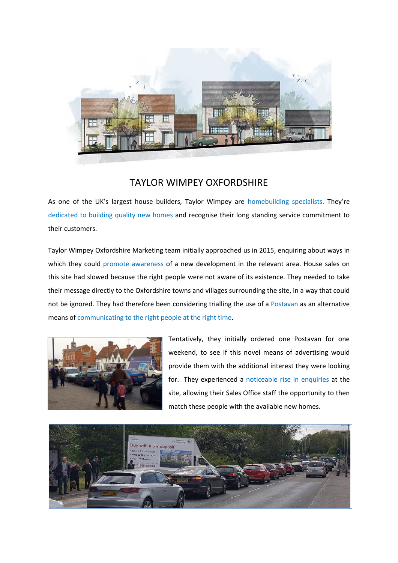

## TAYLOR WIMPEY OXFORDSHIRE

As one of the UK's largest house builders, Taylor Wimpey are homebuilding specialists. They're dedicated to building quality new homes and recognise their long standing service commitment to their customers.

Taylor Wimpey Oxfordshire Marketing team initially approached us in 2015, enquiring about ways in which they could promote awareness of a new development in the relevant area. House sales on this site had slowed because the right people were not aware of its existence. They needed to take their message directly to the Oxfordshire towns and villages surrounding the site, in a way that could not be ignored. They had therefore been considering trialling the use of a Postavan as an alternative means of communicating to the right people at the right time.



Tentatively, they initially ordered one Postavan for one weekend, to see if this novel means of advertising would provide them with the additional interest they were looking for. They experienced a noticeable rise in enquiries at the site, allowing their Sales Office staff the opportunity to then match these people with the available new homes.

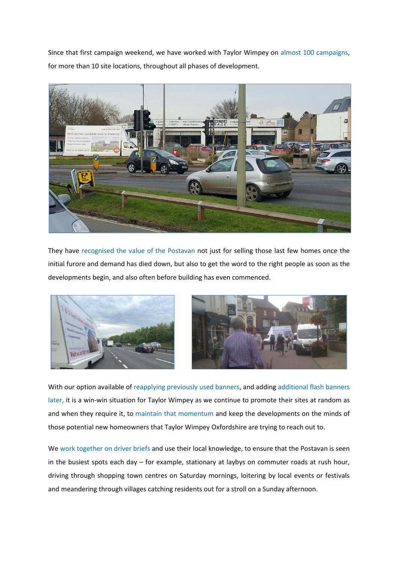Since that first campaign weekend, we have worked with Taylor Wimpey on almost 100 campaigns, for more than 10 site locations, throughout all phases of development.



They have recognised the value of the Postavan not just for selling those last few homes once the initial furore and demand has died down, but also to get the word to the right people as soon as the developments begin, and also often before building has even commenced.





With our option available of reapplying previously used banners, and adding additional flash banners later, it is a win-win situation for Taylor Wimpey as we continue to promote their sites at random as and when they require it, to maintain that momentum and keep the developments on the minds of those potential new homeowners that Taylor Wimpey Oxfordshire are trying to reach out to.

We work together on driver briefs and use their local knowledge, to ensure that the Postavan is seen in the busiest spots each day – for example, stationary at laybys on commuter roads at rush hour, driving through shopping town centres on Saturday mornings, loitering by local events or festivals and meandering through villages catching residents out for a stroll on a Sunday afternoon.